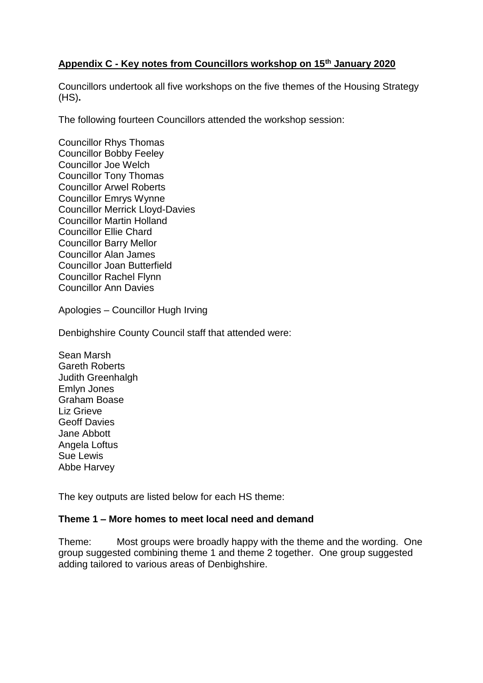# **Appendix C - Key notes from Councillors workshop on 15th January 2020**

Councillors undertook all five workshops on the five themes of the Housing Strategy (HS)**.**

The following fourteen Councillors attended the workshop session:

Councillor Rhys Thomas Councillor Bobby Feeley Councillor Joe Welch Councillor Tony Thomas Councillor Arwel Roberts Councillor Emrys Wynne Councillor Merrick Lloyd-Davies Councillor Martin Holland Councillor Ellie Chard Councillor Barry Mellor Councillor Alan James Councillor Joan Butterfield Councillor Rachel Flynn Councillor Ann Davies

Apologies – Councillor Hugh Irving

Denbighshire County Council staff that attended were:

Sean Marsh Gareth Roberts Judith Greenhalgh Emlyn Jones Graham Boase Liz Grieve Geoff Davies Jane Abbott Angela Loftus Sue Lewis Abbe Harvey

The key outputs are listed below for each HS theme:

### **Theme 1 – More homes to meet local need and demand**

Theme: Most groups were broadly happy with the theme and the wording. One group suggested combining theme 1 and theme 2 together. One group suggested adding tailored to various areas of Denbighshire.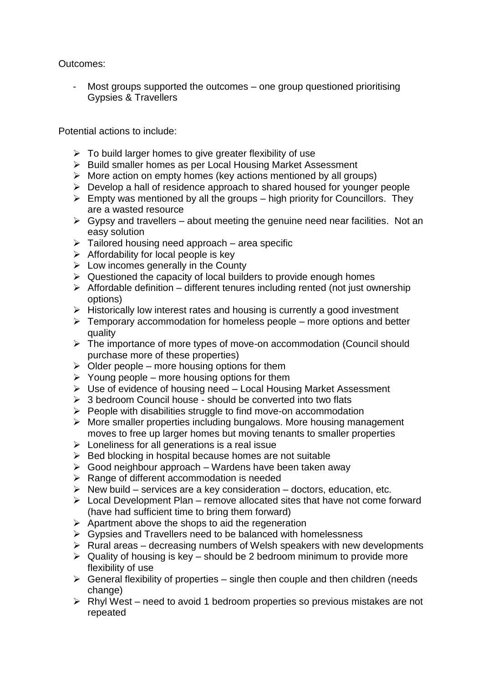Outcomes:

Most groups supported the outcomes – one group questioned prioritising Gypsies & Travellers

Potential actions to include:

- $\triangleright$  To build larger homes to give greater flexibility of use
- ▶ Build smaller homes as per Local Housing Market Assessment
- $\triangleright$  More action on empty homes (key actions mentioned by all groups)
- $\triangleright$  Develop a hall of residence approach to shared housed for younger people
- $\triangleright$  Empty was mentioned by all the groups high priority for Councillors. They are a wasted resource
- $\triangleright$  Gypsy and travellers about meeting the genuine need near facilities. Not an easy solution
- $\triangleright$  Tailored housing need approach area specific
- $\triangleright$  Affordability for local people is key
- $\triangleright$  Low incomes generally in the County
- $\triangleright$  Questioned the capacity of local builders to provide enough homes
- $\triangleright$  Affordable definition different tenures including rented (not just ownership options)
- $\triangleright$  Historically low interest rates and housing is currently a good investment
- $\triangleright$  Temporary accommodation for homeless people more options and better quality
- > The importance of more types of move-on accommodation (Council should purchase more of these properties)
- $\triangleright$  Older people more housing options for them
- $\triangleright$  Young people more housing options for them
- Use of evidence of housing need Local Housing Market Assessment
- $\geq 3$  bedroom Council house should be converted into two flats
- $\triangleright$  People with disabilities struggle to find move-on accommodation
- $\triangleright$  More smaller properties including bungalows. More housing management moves to free up larger homes but moving tenants to smaller properties
- $\triangleright$  Loneliness for all generations is a real issue
- $\triangleright$  Bed blocking in hospital because homes are not suitable
- $\triangleright$  Good neighbour approach Wardens have been taken away
- $\triangleright$  Range of different accommodation is needed
- $\triangleright$  New build services are a key consideration doctors, education, etc.
- $\triangleright$  Local Development Plan remove allocated sites that have not come forward (have had sufficient time to bring them forward)
- $\triangleright$  Apartment above the shops to aid the regeneration
- $\triangleright$  Gypsies and Travellers need to be balanced with homelessness
- $\triangleright$  Rural areas decreasing numbers of Welsh speakers with new developments
- $\triangleright$  Quality of housing is key should be 2 bedroom minimum to provide more flexibility of use
- $\triangleright$  General flexibility of properties single then couple and then children (needs change)
- $\triangleright$  Rhyl West need to avoid 1 bedroom properties so previous mistakes are not repeated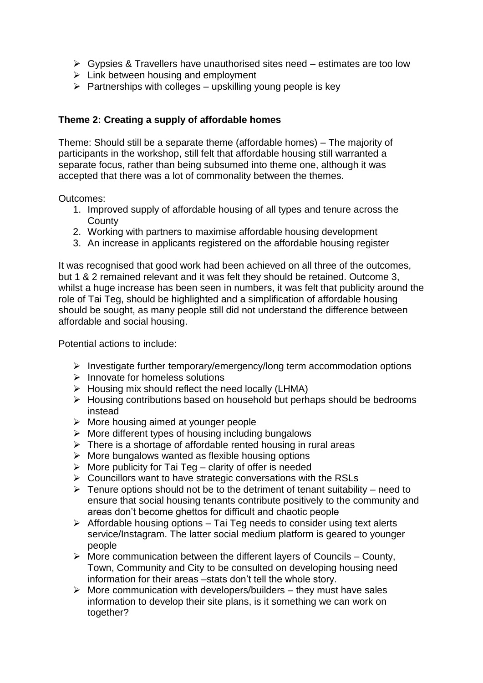- $\triangleright$  Gypsies & Travellers have unauthorised sites need estimates are too low
- $\triangleright$  Link between housing and employment
- $\triangleright$  Partnerships with colleges upskilling young people is key

## **Theme 2: Creating a supply of affordable homes**

Theme: Should still be a separate theme (affordable homes) – The majority of participants in the workshop, still felt that affordable housing still warranted a separate focus, rather than being subsumed into theme one, although it was accepted that there was a lot of commonality between the themes.

Outcomes:

- 1. Improved supply of affordable housing of all types and tenure across the **County**
- 2. Working with partners to maximise affordable housing development
- 3. An increase in applicants registered on the affordable housing register

It was recognised that good work had been achieved on all three of the outcomes, but 1 & 2 remained relevant and it was felt they should be retained. Outcome 3, whilst a huge increase has been seen in numbers, it was felt that publicity around the role of Tai Teg, should be highlighted and a simplification of affordable housing should be sought, as many people still did not understand the difference between affordable and social housing.

Potential actions to include:

- $\triangleright$  Investigate further temporary/emergency/long term accommodation options
- $\triangleright$  Innovate for homeless solutions
- $\triangleright$  Housing mix should reflect the need locally (LHMA)
- > Housing contributions based on household but perhaps should be bedrooms instead
- $\triangleright$  More housing aimed at younger people
- $\triangleright$  More different types of housing including bungalows
- $\triangleright$  There is a shortage of affordable rented housing in rural areas
- $\triangleright$  More bungalows wanted as flexible housing options
- $\triangleright$  More publicity for Tai Teg clarity of offer is needed
- $\triangleright$  Councillors want to have strategic conversations with the RSLs
- $\triangleright$  Tenure options should not be to the detriment of tenant suitability need to ensure that social housing tenants contribute positively to the community and areas don't become ghettos for difficult and chaotic people
- $\triangleright$  Affordable housing options Tai Teg needs to consider using text alerts service/Instagram. The latter social medium platform is geared to younger people
- $\triangleright$  More communication between the different layers of Councils County, Town, Community and City to be consulted on developing housing need information for their areas –stats don't tell the whole story.
- $\triangleright$  More communication with developers/builders they must have sales information to develop their site plans, is it something we can work on together?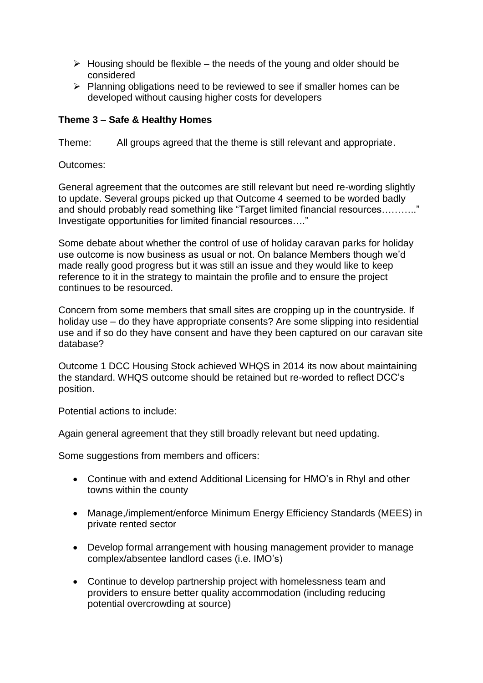- $\triangleright$  Housing should be flexible the needs of the young and older should be considered
- $\triangleright$  Planning obligations need to be reviewed to see if smaller homes can be developed without causing higher costs for developers

## **Theme 3 – Safe & Healthy Homes**

Theme: All groups agreed that the theme is still relevant and appropriate.

Outcomes:

General agreement that the outcomes are still relevant but need re-wording slightly to update. Several groups picked up that Outcome 4 seemed to be worded badly and should probably read something like "Target limited financial resources……….." Investigate opportunities for limited financial resources…."

Some debate about whether the control of use of holiday caravan parks for holiday use outcome is now business as usual or not. On balance Members though we'd made really good progress but it was still an issue and they would like to keep reference to it in the strategy to maintain the profile and to ensure the project continues to be resourced.

Concern from some members that small sites are cropping up in the countryside. If holiday use – do they have appropriate consents? Are some slipping into residential use and if so do they have consent and have they been captured on our caravan site database?

Outcome 1 DCC Housing Stock achieved WHQS in 2014 its now about maintaining the standard. WHQS outcome should be retained but re-worded to reflect DCC's position.

Potential actions to include:

Again general agreement that they still broadly relevant but need updating.

Some suggestions from members and officers:

- Continue with and extend Additional Licensing for HMO's in Rhyl and other towns within the county
- Manage,/implement/enforce Minimum Energy Efficiency Standards (MEES) in private rented sector
- Develop formal arrangement with housing management provider to manage complex/absentee landlord cases (i.e. IMO's)
- Continue to develop partnership project with homelessness team and providers to ensure better quality accommodation (including reducing potential overcrowding at source)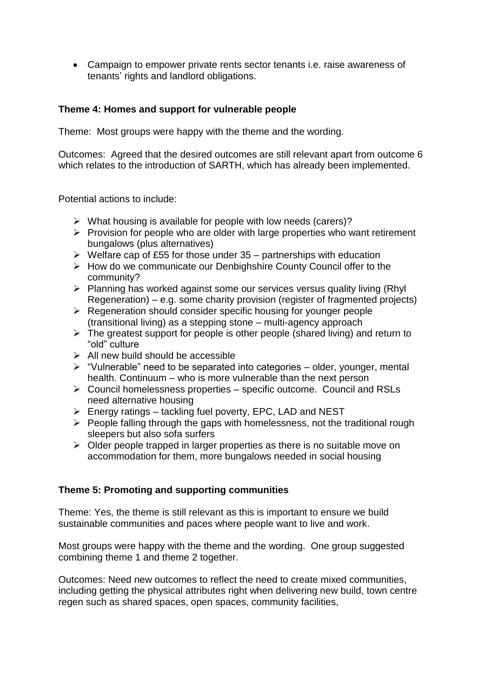Campaign to empower private rents sector tenants i.e. raise awareness of tenants' rights and landlord obligations.

# **Theme 4: Homes and support for vulnerable people**

Theme: Most groups were happy with the theme and the wording.

Outcomes: Agreed that the desired outcomes are still relevant apart from outcome 6 which relates to the introduction of SARTH, which has already been implemented.

Potential actions to include:

- $\triangleright$  What housing is available for people with low needs (carers)?
- $\triangleright$  Provision for people who are older with large properties who want retirement bungalows (plus alternatives)
- $\triangleright$  Welfare cap of £55 for those under 35 partnerships with education
- $\triangleright$  How do we communicate our Denbighshire County Council offer to the community?
- $\triangleright$  Planning has worked against some our services versus quality living (Rhyl) Regeneration) – e.g. some charity provision (register of fragmented projects)
- $\triangleright$  Regeneration should consider specific housing for younger people (transitional living) as a stepping stone – multi-agency approach
- $\triangleright$  The greatest support for people is other people (shared living) and return to "old" culture
- $\triangleright$  All new build should be accessible
- $\triangleright$  "Vulnerable" need to be separated into categories older, younger, mental health. Continuum – who is more vulnerable than the next person
- $\triangleright$  Council homelessness properties specific outcome. Council and RSLs need alternative housing
- $\triangleright$  Energy ratings tackling fuel poverty, EPC, LAD and NEST
- $\triangleright$  People falling through the gaps with homelessness, not the traditional rough sleepers but also sofa surfers
- $\triangleright$  Older people trapped in larger properties as there is no suitable move on accommodation for them, more bungalows needed in social housing

### **Theme 5: Promoting and supporting communities**

Theme: Yes, the theme is still relevant as this is important to ensure we build sustainable communities and paces where people want to live and work.

Most groups were happy with the theme and the wording. One group suggested combining theme 1 and theme 2 together.

Outcomes: Need new outcomes to reflect the need to create mixed communities, including getting the physical attributes right when delivering new build, town centre regen such as shared spaces, open spaces, community facilities,